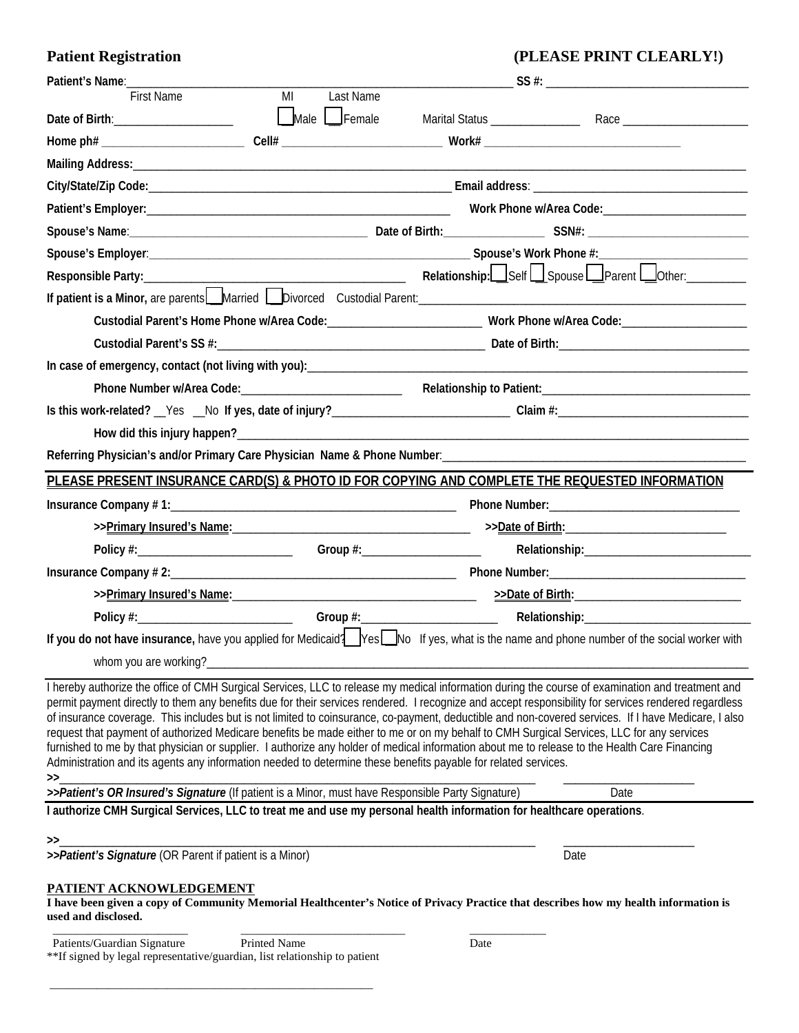## Patient Registration (PLEASE PRINT CLEARLY!)

| Patient's Name:                                                                                                                                                                                                                                                                                                                                                                                                   |                 |      |                                                                                                                                                                                                                                                                                                                                                                                                                                                                 |
|-------------------------------------------------------------------------------------------------------------------------------------------------------------------------------------------------------------------------------------------------------------------------------------------------------------------------------------------------------------------------------------------------------------------|-----------------|------|-----------------------------------------------------------------------------------------------------------------------------------------------------------------------------------------------------------------------------------------------------------------------------------------------------------------------------------------------------------------------------------------------------------------------------------------------------------------|
| <b>First Name</b>                                                                                                                                                                                                                                                                                                                                                                                                 | Last Name<br>MI |      |                                                                                                                                                                                                                                                                                                                                                                                                                                                                 |
|                                                                                                                                                                                                                                                                                                                                                                                                                   | Male Female     |      | Marital Status Race Race                                                                                                                                                                                                                                                                                                                                                                                                                                        |
|                                                                                                                                                                                                                                                                                                                                                                                                                   |                 |      |                                                                                                                                                                                                                                                                                                                                                                                                                                                                 |
|                                                                                                                                                                                                                                                                                                                                                                                                                   |                 |      |                                                                                                                                                                                                                                                                                                                                                                                                                                                                 |
|                                                                                                                                                                                                                                                                                                                                                                                                                   |                 |      |                                                                                                                                                                                                                                                                                                                                                                                                                                                                 |
|                                                                                                                                                                                                                                                                                                                                                                                                                   |                 |      |                                                                                                                                                                                                                                                                                                                                                                                                                                                                 |
|                                                                                                                                                                                                                                                                                                                                                                                                                   |                 |      |                                                                                                                                                                                                                                                                                                                                                                                                                                                                 |
|                                                                                                                                                                                                                                                                                                                                                                                                                   |                 |      |                                                                                                                                                                                                                                                                                                                                                                                                                                                                 |
|                                                                                                                                                                                                                                                                                                                                                                                                                   |                 |      |                                                                                                                                                                                                                                                                                                                                                                                                                                                                 |
|                                                                                                                                                                                                                                                                                                                                                                                                                   |                 |      |                                                                                                                                                                                                                                                                                                                                                                                                                                                                 |
|                                                                                                                                                                                                                                                                                                                                                                                                                   |                 |      | Custodial Parent's Home Phone w/Area Code: ________________________________ Work Phone w/Area Code: __________________________________                                                                                                                                                                                                                                                                                                                          |
|                                                                                                                                                                                                                                                                                                                                                                                                                   |                 |      |                                                                                                                                                                                                                                                                                                                                                                                                                                                                 |
|                                                                                                                                                                                                                                                                                                                                                                                                                   |                 |      |                                                                                                                                                                                                                                                                                                                                                                                                                                                                 |
|                                                                                                                                                                                                                                                                                                                                                                                                                   |                 |      |                                                                                                                                                                                                                                                                                                                                                                                                                                                                 |
|                                                                                                                                                                                                                                                                                                                                                                                                                   |                 |      | Is this work-related? Yes No If yes, date of injury?<br>and in the manu-                                                                                                                                                                                                                                                                                                                                                                                        |
|                                                                                                                                                                                                                                                                                                                                                                                                                   |                 |      |                                                                                                                                                                                                                                                                                                                                                                                                                                                                 |
|                                                                                                                                                                                                                                                                                                                                                                                                                   |                 |      |                                                                                                                                                                                                                                                                                                                                                                                                                                                                 |
| PLEASE PRESENT INSURANCE CARD(S) & PHOTO ID FOR COPYING AND COMPLETE THE REQUESTED INFORMATION                                                                                                                                                                                                                                                                                                                    |                 |      |                                                                                                                                                                                                                                                                                                                                                                                                                                                                 |
|                                                                                                                                                                                                                                                                                                                                                                                                                   |                 |      |                                                                                                                                                                                                                                                                                                                                                                                                                                                                 |
|                                                                                                                                                                                                                                                                                                                                                                                                                   |                 |      |                                                                                                                                                                                                                                                                                                                                                                                                                                                                 |
|                                                                                                                                                                                                                                                                                                                                                                                                                   |                 |      |                                                                                                                                                                                                                                                                                                                                                                                                                                                                 |
|                                                                                                                                                                                                                                                                                                                                                                                                                   |                 |      |                                                                                                                                                                                                                                                                                                                                                                                                                                                                 |
|                                                                                                                                                                                                                                                                                                                                                                                                                   |                 |      |                                                                                                                                                                                                                                                                                                                                                                                                                                                                 |
|                                                                                                                                                                                                                                                                                                                                                                                                                   |                 |      |                                                                                                                                                                                                                                                                                                                                                                                                                                                                 |
|                                                                                                                                                                                                                                                                                                                                                                                                                   |                 |      | If you do not have insurance, have you applied for Medicaid? Yes Mo If yes, what is the name and phone number of the social worker with                                                                                                                                                                                                                                                                                                                         |
| whom you are working?                                                                                                                                                                                                                                                                                                                                                                                             |                 |      |                                                                                                                                                                                                                                                                                                                                                                                                                                                                 |
| request that payment of authorized Medicare benefits be made either to me or on my behalf to CMH Surgical Services, LLC for any services<br>furnished to me by that physician or supplier. I authorize any holder of medical information about me to release to the Health Care Financing<br>Administration and its agents any information needed to determine these benefits payable for related services.<br>>> |                 |      | I hereby authorize the office of CMH Surgical Services, LLC to release my medical information during the course of examination and treatment and<br>permit payment directly to them any benefits due for their services rendered. I recognize and accept responsibility for services rendered regardless<br>of insurance coverage. This includes but is not limited to coinsurance, co-payment, deductible and non-covered services. If I have Medicare, I also |
| >>Patient's OR Insured's Signature (If patient is a Minor, must have Responsible Party Signature)                                                                                                                                                                                                                                                                                                                 |                 |      | Date                                                                                                                                                                                                                                                                                                                                                                                                                                                            |
| I authorize CMH Surgical Services, LLC to treat me and use my personal health information for healthcare operations.                                                                                                                                                                                                                                                                                              |                 |      |                                                                                                                                                                                                                                                                                                                                                                                                                                                                 |
| $\rightarrow$                                                                                                                                                                                                                                                                                                                                                                                                     |                 |      |                                                                                                                                                                                                                                                                                                                                                                                                                                                                 |
| >>Patient's Signature (OR Parent if patient is a Minor)                                                                                                                                                                                                                                                                                                                                                           |                 |      | Date                                                                                                                                                                                                                                                                                                                                                                                                                                                            |
| PATIENT ACKNOWLEDGEMENT<br>I have been given a copy of Community Memorial Healthcenter's Notice of Privacy Practice that describes how my health information is<br>used and disclosed.<br>Patients/Guardian Signature                                                                                                                                                                                             | Printed Name    | Date |                                                                                                                                                                                                                                                                                                                                                                                                                                                                 |
| **If signed by legal representative/guardian, list relationship to patient                                                                                                                                                                                                                                                                                                                                        |                 |      |                                                                                                                                                                                                                                                                                                                                                                                                                                                                 |

\_\_\_\_\_\_\_\_\_\_\_\_\_\_\_\_\_\_\_\_\_\_\_\_\_\_\_\_\_\_\_\_\_\_\_\_\_\_\_\_\_\_\_\_\_\_\_\_\_\_\_\_\_\_\_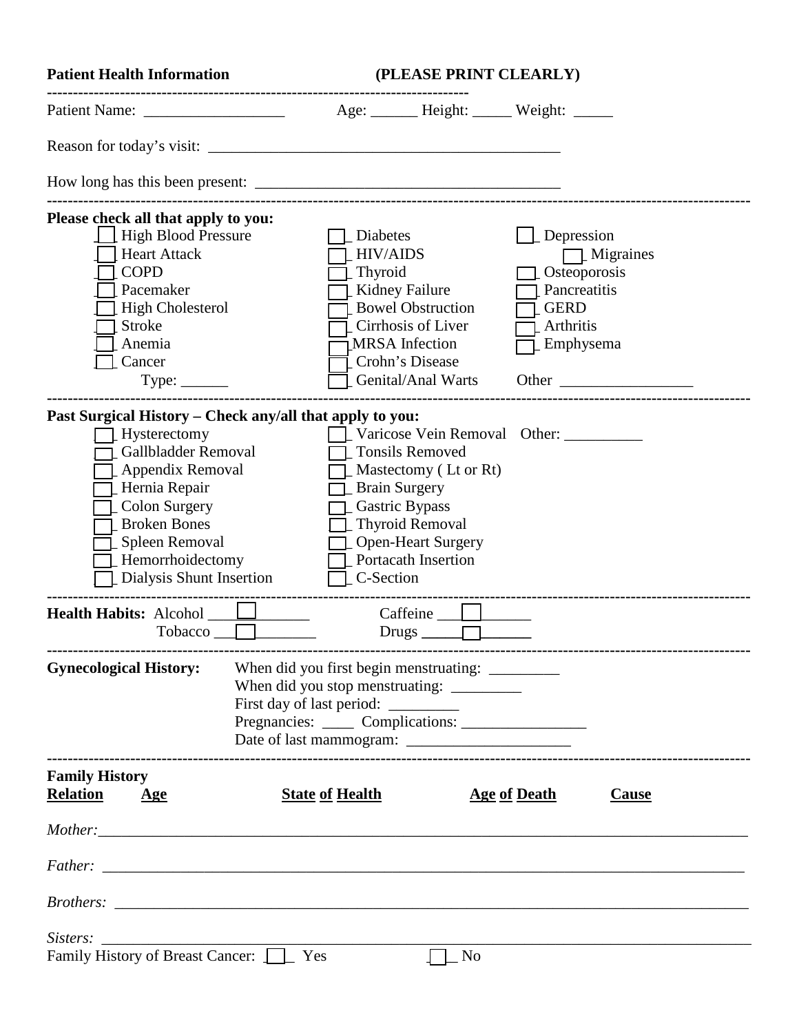| <b>Patient Health Information</b>                                                                                                                                                                                                              |                                     | (PLEASE PRINT CLEARLY)                 |                                                                                                                                                                                |                                                                                     |  |  |
|------------------------------------------------------------------------------------------------------------------------------------------------------------------------------------------------------------------------------------------------|-------------------------------------|----------------------------------------|--------------------------------------------------------------------------------------------------------------------------------------------------------------------------------|-------------------------------------------------------------------------------------|--|--|
|                                                                                                                                                                                                                                                |                                     |                                        | Age: Height: Weight:                                                                                                                                                           |                                                                                     |  |  |
|                                                                                                                                                                                                                                                |                                     |                                        |                                                                                                                                                                                |                                                                                     |  |  |
|                                                                                                                                                                                                                                                |                                     |                                        |                                                                                                                                                                                |                                                                                     |  |  |
| Please check all that apply to you:<br><b>High Blood Pressure</b><br><b>Heart Attack</b><br><b>COPD</b><br>Pacemaker<br><b>High Cholesterol</b>                                                                                                |                                     | Diabetes<br><b>HIV/AIDS</b><br>Thyroid | Kidney Failure<br><b>Bowel Obstruction</b>                                                                                                                                     | Depression<br>$\mathbb{Z}$ Migraines<br>Osteoporosis<br>Pancreatitis<br><b>GERD</b> |  |  |
| <b>Stroke</b><br>Anemia<br>Cancer<br>Type:                                                                                                                                                                                                     |                                     |                                        | Cirrhosis of Liver<br><b>MRSA</b> Infection<br>Crohn's Disease<br>Genital/Anal Warts                                                                                           | Arthritis<br>Emphysema                                                              |  |  |
| Past Surgical History – Check any/all that apply to you:<br>Hysterectomy<br>Gallbladder Removal<br>Appendix Removal<br>Hernia Repair<br>Colon Surgery<br><b>Broken Bones</b><br>Spleen Removal<br>Hemorrhoidectomy<br>Dialysis Shunt Insertion |                                     | C-Section                              | <b>Tonsils Removed</b><br>Mastectomy (Lt or Rt)<br><b>Brain Surgery</b><br>Gastric Bypass<br><b>Thyroid Removal</b><br><b>Open-Heart Surgery</b><br><b>Portacath Insertion</b> | Varicose Vein Removal Other:                                                        |  |  |
| <b>Health Habits: Alcohol</b><br>Tobacco                                                                                                                                                                                                       |                                     |                                        | $Drugs$ $\Box$                                                                                                                                                                 |                                                                                     |  |  |
| <b>Gynecological History:</b>                                                                                                                                                                                                                  | First day of last period: _________ |                                        | When did you stop menstruating: ___________                                                                                                                                    |                                                                                     |  |  |
| <b>Family History</b><br><b>Relation</b><br>Age                                                                                                                                                                                                |                                     | <b>State of Health</b>                 |                                                                                                                                                                                | <b>Age of Death</b><br>Cause                                                        |  |  |
|                                                                                                                                                                                                                                                |                                     |                                        |                                                                                                                                                                                |                                                                                     |  |  |
|                                                                                                                                                                                                                                                |                                     |                                        |                                                                                                                                                                                |                                                                                     |  |  |
|                                                                                                                                                                                                                                                |                                     |                                        |                                                                                                                                                                                |                                                                                     |  |  |
| Sisters:                                                                                                                                                                                                                                       |                                     |                                        |                                                                                                                                                                                |                                                                                     |  |  |
| Family History of Breast Cancer: <u>Later</u> Yes                                                                                                                                                                                              |                                     |                                        | N <sub>o</sub>                                                                                                                                                                 |                                                                                     |  |  |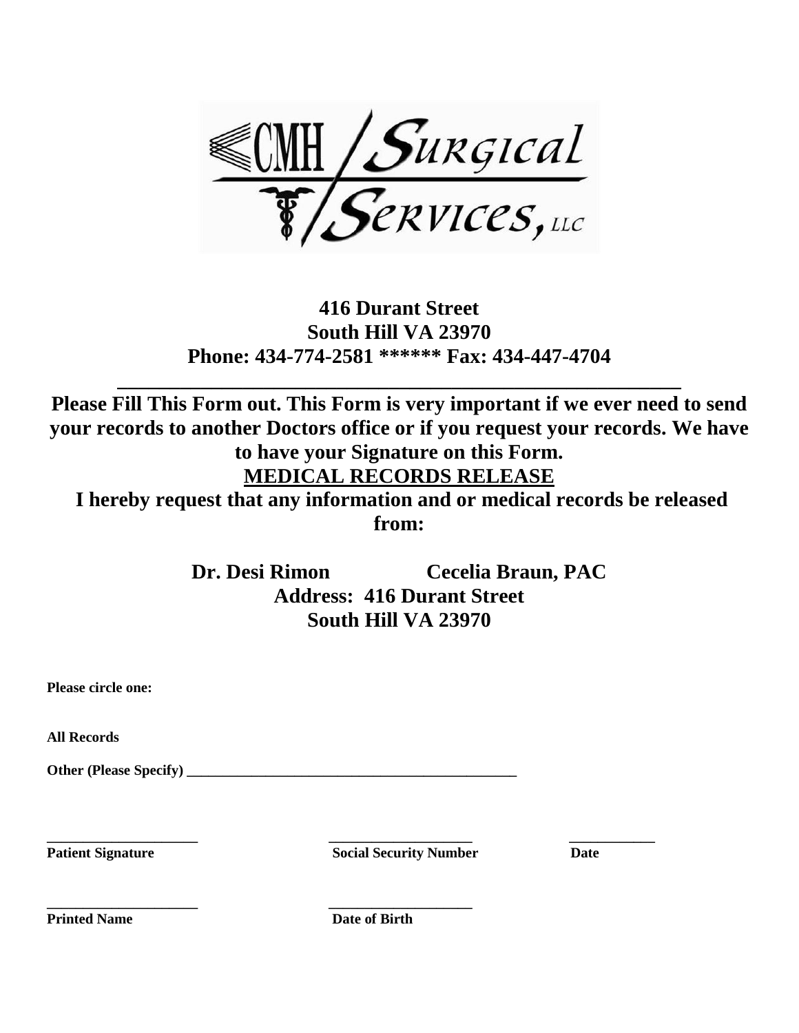

## **416 Durant Street South Hill VA 23970 Phone: 434-774-2581 \*\*\*\*\*\* Fax: 434-447-4704**

**\_\_\_\_\_\_\_\_\_\_\_\_\_\_\_\_\_\_\_\_\_\_\_\_\_\_\_\_\_\_\_\_\_\_\_\_\_\_\_\_\_\_\_\_\_\_\_\_\_\_\_\_\_\_**

**Please Fill This Form out. This Form is very important if we ever need to send your records to another Doctors office or if you request your records. We have to have your Signature on this Form. MEDICAL RECORDS RELEASE**

**I hereby request that any information and or medical records be released from:**

> **Dr. Desi Rimon Cecelia Braun, PAC Address: 416 Durant Street South Hill VA 23970**

**All Records**

**Other (Please Specify) \_\_\_\_\_\_\_\_\_\_\_\_\_\_\_\_\_\_\_\_\_\_\_\_\_\_\_\_\_\_\_\_\_\_\_\_\_\_\_\_\_\_\_\_\_\_** 

**\_\_\_\_\_\_\_\_\_\_\_\_\_\_\_\_\_\_\_\_\_ \_\_\_\_\_\_\_\_\_\_\_\_\_\_\_\_\_\_\_\_ \_\_\_\_\_\_\_\_\_\_\_\_ Patient Signature Social Security Number Date** 

**Printed Name Date of Birth** 

**\_\_\_\_\_\_\_\_\_\_\_\_\_\_\_\_\_\_\_\_\_ \_\_\_\_\_\_\_\_\_\_\_\_\_\_\_\_\_\_\_\_**